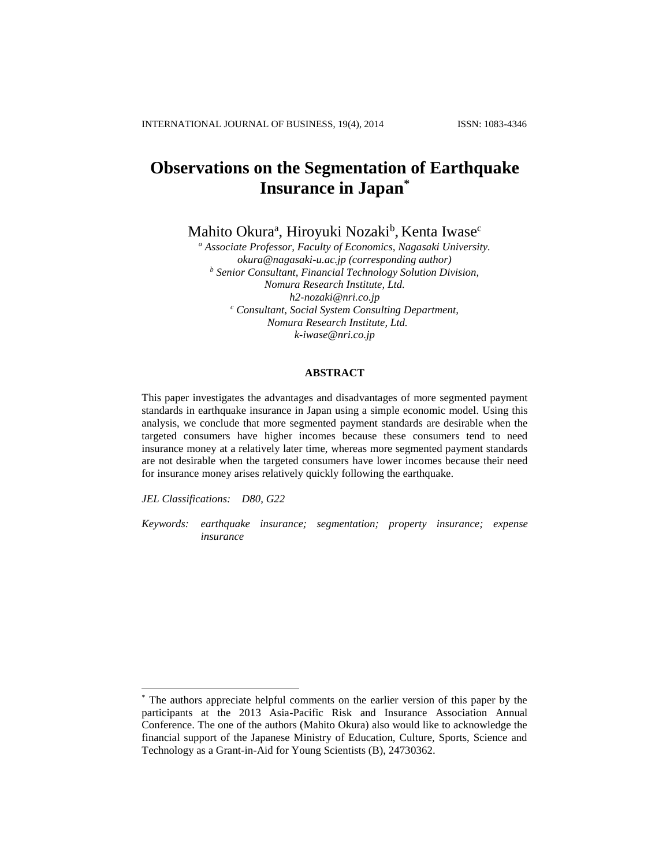# **Observations on the Segmentation of Earthquake Insurance in Japan\***

Mahito Okura<sup>a</sup>, Hiroyuki Nozaki<sup>b</sup>, Kenta Iwase<sup>c</sup>

*<sup>a</sup> Associate Professor, Faculty of Economics, Nagasaki University. okura@nagasaki-u.ac.jp (corresponding author) <sup>b</sup> Senior Consultant, Financial Technology Solution Division, Nomura Research Institute, Ltd. h2-nozaki@nri.co.jp <sup>c</sup> Consultant, Social System Consulting Department, Nomura Research Institute, Ltd. k-iwase@nri.co.jp*

# **ABSTRACT**

This paper investigates the advantages and disadvantages of more segmented payment standards in earthquake insurance in Japan using a simple economic model. Using this analysis, we conclude that more segmented payment standards are desirable when the targeted consumers have higher incomes because these consumers tend to need insurance money at a relatively later time, whereas more segmented payment standards are not desirable when the targeted consumers have lower incomes because their need for insurance money arises relatively quickly following the earthquake.

*JEL Classifications: D80, G22*

 $\overline{a}$ 

*Keywords: earthquake insurance; segmentation; property insurance; expense insurance*

The authors appreciate helpful comments on the earlier version of this paper by the participants at the 2013 Asia-Pacific Risk and Insurance Association Annual Conference. The one of the authors (Mahito Okura) also would like to acknowledge the financial support of the Japanese Ministry of Education, Culture, Sports, Science and Technology as a Grant-in-Aid for Young Scientists (B), 24730362.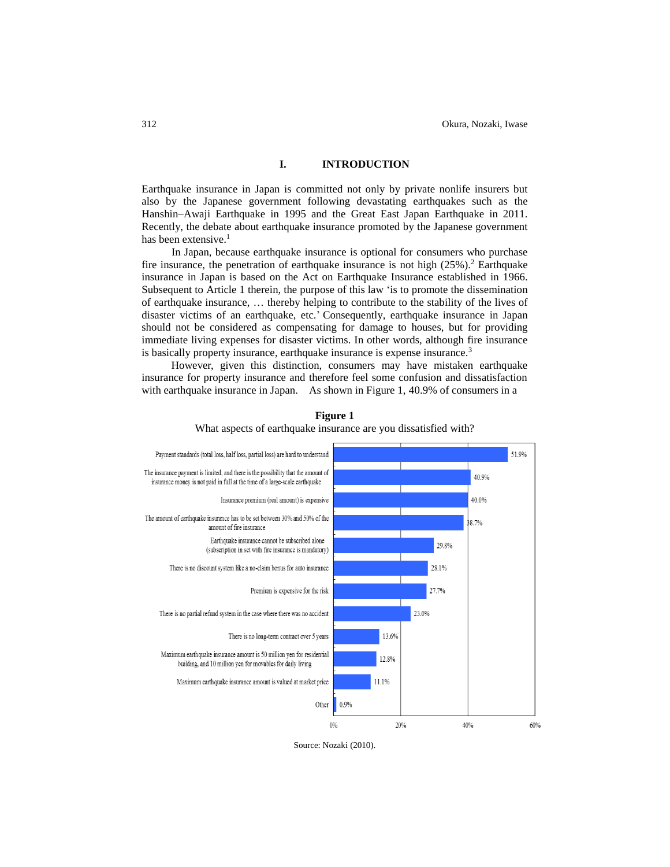#### **I. INTRODUCTION**

Earthquake insurance in Japan is committed not only by private nonlife insurers but also by the Japanese government following devastating earthquakes such as the Hanshin–Awaji Earthquake in 1995 and the Great East Japan Earthquake in 2011. Recently, the debate about earthquake insurance promoted by the Japanese government has been extensive. 1

In Japan, because earthquake insurance is optional for consumers who purchase fire insurance, the penetration of earthquake insurance is not high (25%). <sup>2</sup> Earthquake insurance in Japan is based on the Act on Earthquake Insurance established in 1966. Subsequent to Article 1 therein, the purpose of this law 'is to promote the dissemination of earthquake insurance, … thereby helping to contribute to the stability of the lives of disaster victims of an earthquake, etc.' Consequently, earthquake insurance in Japan should not be considered as compensating for damage to houses, but for providing immediate living expenses for disaster victims. In other words, although fire insurance is basically property insurance, earthquake insurance is expense insurance.<sup>3</sup>

However, given this distinction, consumers may have mistaken earthquake insurance for property insurance and therefore feel some confusion and dissatisfaction with earthquake insurance in Japan. As shown in Figure 1, 40.9% of consumers in a



**Figure 1** What aspects of earthquake insurance are you dissatisfied with?

Source: Nozaki (2010).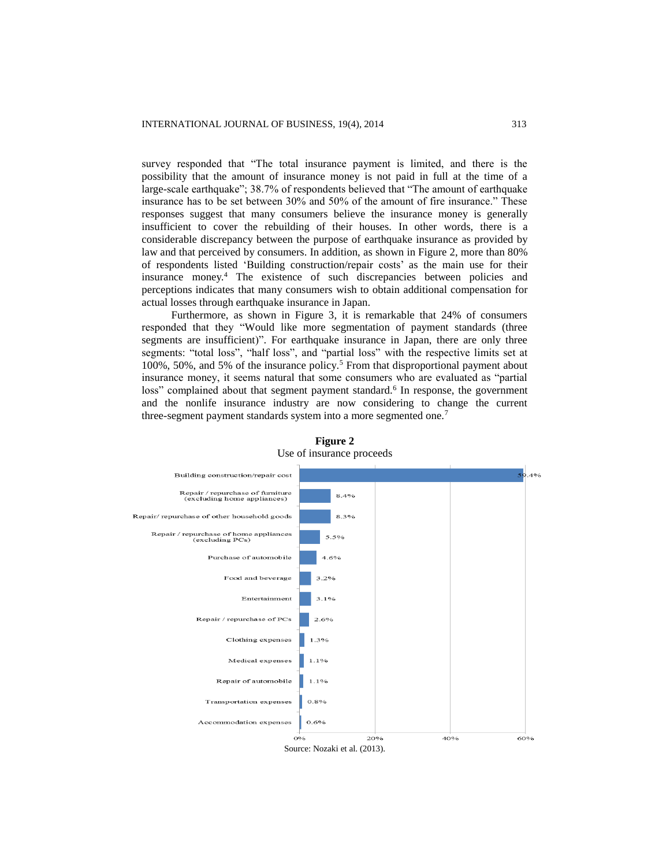survey responded that "The total insurance payment is limited, and there is the possibility that the amount of insurance money is not paid in full at the time of a large-scale earthquake"; 38.7% of respondents believed that "The amount of earthquake insurance has to be set between 30% and 50% of the amount of fire insurance." These responses suggest that many consumers believe the insurance money is generally insufficient to cover the rebuilding of their houses. In other words, there is a considerable discrepancy between the purpose of earthquake insurance as provided by law and that perceived by consumers. In addition, as shown in Figure 2, more than 80% of respondents listed 'Building construction/repair costs' as the main use for their insurance money. <sup>4</sup> The existence of such discrepancies between policies and perceptions indicates that many consumers wish to obtain additional compensation for actual losses through earthquake insurance in Japan.

Furthermore, as shown in Figure 3, it is remarkable that 24% of consumers responded that they "Would like more segmentation of payment standards (three segments are insufficient)". For earthquake insurance in Japan, there are only three segments: "total loss", "half loss", and "partial loss" with the respective limits set at 100%, 50%, and 5% of the insurance policy.<sup>5</sup> From that disproportional payment about insurance money, it seems natural that some consumers who are evaluated as "partial loss" complained about that segment payment standard.<sup>6</sup> In response, the government and the nonlife insurance industry are now considering to change the current three-segment payment standards system into a more segmented one.<sup>7</sup>



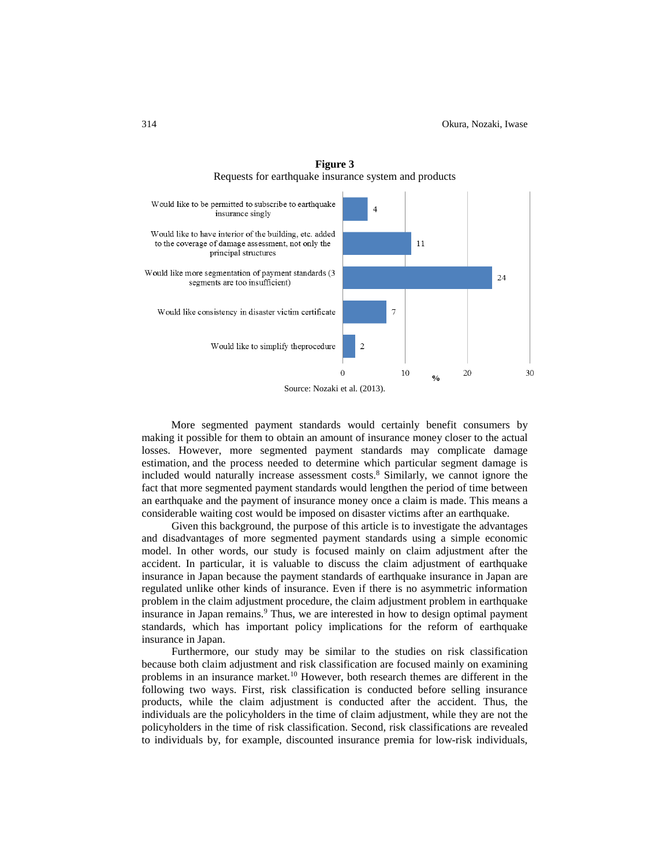

**Figure 3** Requests for earthquake insurance system and products

Source: Nozaki et al. (2013).

More segmented payment standards would certainly benefit consumers by making it possible for them to obtain an amount of insurance money closer to the actual losses. However, more segmented payment standards may complicate damage estimation, and the process needed to determine which particular segment damage is included would naturally increase assessment costs. <sup>8</sup> Similarly, we cannot ignore the fact that more segmented payment standards would lengthen the period of time between an earthquake and the payment of insurance money once a claim is made. This means a considerable waiting cost would be imposed on disaster victims after an earthquake.

Given this background, the purpose of this article is to investigate the advantages and disadvantages of more segmented payment standards using a simple economic model. In other words, our study is focused mainly on claim adjustment after the accident. In particular, it is valuable to discuss the claim adjustment of earthquake insurance in Japan because the payment standards of earthquake insurance in Japan are regulated unlike other kinds of insurance. Even if there is no asymmetric information problem in the claim adjustment procedure, the claim adjustment problem in earthquake insurance in Japan remains.<sup>9</sup> Thus, we are interested in how to design optimal payment standards, which has important policy implications for the reform of earthquake insurance in Japan.

Furthermore, our study may be similar to the studies on risk classification because both claim adjustment and risk classification are focused mainly on examining problems in an insurance market.<sup>10</sup> However, both research themes are different in the following two ways. First, risk classification is conducted before selling insurance products, while the claim adjustment is conducted after the accident. Thus, the individuals are the policyholders in the time of claim adjustment, while they are not the policyholders in the time of risk classification. Second, risk classifications are revealed to individuals by, for example, discounted insurance premia for low-risk individuals,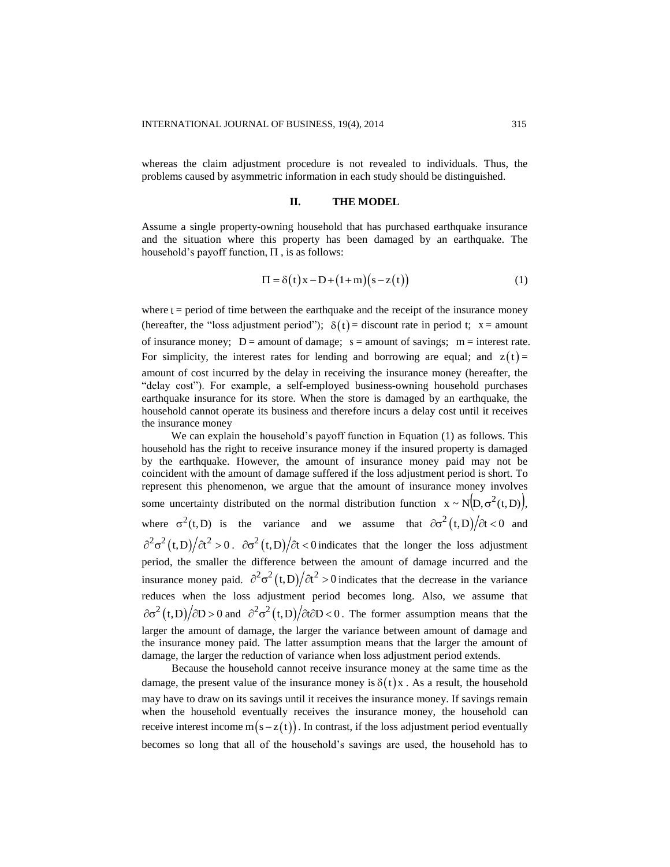whereas the claim adjustment procedure is not revealed to individuals. Thus, the problems caused by asymmetric information in each study should be distinguished.

### **II. THE MODEL**

Assume a single property-owning household that has purchased earthquake insurance and the situation where this property has been damaged by an earthquake. The household's payoff function,  $\Pi$  , is as follows:

$$
\Pi = \delta(t)x - D + (1+m)(s - z(t))
$$
\n(1)

where  $t =$  period of time between the earthquake and the receipt of the insurance money (hereafter, the "loss adjustment period");  $\delta(t)$  = discount rate in period t; x = amount of insurance money;  $D =$  amount of damage;  $s =$  amount of savings;  $m =$  interest rate. For simplicity, the interest rates for lending and borrowing are equal; and  $z(t)$  = amount of cost incurred by the delay in receiving the insurance money (hereafter, the "delay cost"). For example, a self-employed business-owning household purchases earthquake insurance for its store. When the store is damaged by an earthquake, the household cannot operate its business and therefore incurs a delay cost until it receives the insurance money

We can explain the household's payoff function in Equation (1) as follows. This household has the right to receive insurance money if the insured property is damaged by the earthquake. However, the amount of insurance money paid may not be coincident with the amount of damage suffered if the loss adjustment period is short. To represent this phenomenon, we argue that the amount of insurance money involves some uncertainty distributed on the normal distribution function  $x \sim N(D, \sigma^2(t, D))$ , where  $\sigma^2(t, D)$  is the variance and we assume that  $\partial \sigma^2(t, D)/\partial t < 0$  and  $\partial^2 \sigma^2(t,D)/\partial t^2 > 0$ .  $\partial \sigma^2(t,D)/\partial t < 0$  indicates that the longer the loss adjustment period, the smaller the difference between the amount of damage incurred and the insurance money paid.  $\partial^2 \sigma^2(t,D)/\partial t^2 > 0$  indicates that the decrease in the variance reduces when the loss adjustment period becomes long. Also, we assume that  $\partial \sigma^2(t,D)/\partial D > 0$  and  $\partial^2 \sigma^2(t,D)/\partial t \partial D < 0$ . The former assumption means that the larger the amount of damage, the larger the variance between amount of damage and the insurance money paid. The latter assumption means that the larger the amount of damage, the larger the reduction of variance when loss adjustment period extends.

Because the household cannot receive insurance money at the same time as the damage, the present value of the insurance money is  $\delta(t)x$ . As a result, the household may have to draw on its savings until it receives the insurance money. If savings remain when the household eventually receives the insurance money, the household can receive interest income  $m(s - z(t))$ . In contrast, if the loss adjustment period eventually becomes so long that all of the household's savings are used, the household has to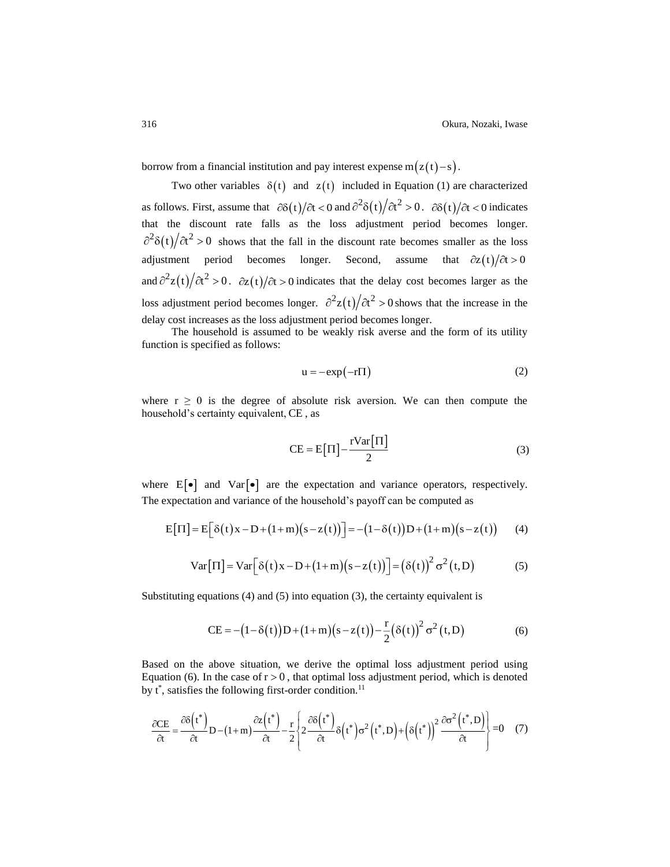borrow from a financial institution and pay interest expense  $m(z(t)-s)$ .

Two other variables  $\delta(t)$  and  $z(t)$  included in Equation (1) are characterized as follows. First, assume that  $\partial \delta(t)/\partial t < 0$  and  $\partial^2 \delta(t)/\partial t^2 > 0$ .  $\partial \delta(t)/\partial t < 0$  indicates that the discount rate falls as the loss adjustment period becomes longer.  $\partial^2 \delta(t)/\partial t^2 > 0$  shows that the fall in the discount rate becomes smaller as the loss adjustment period becomes longer. Second, assume that  $\partial z(t)/\partial t > 0$ and  $\partial^2 z(t)/\partial t^2 > 0$ .  $\partial z(t)/\partial t > 0$  indicates that the delay cost becomes larger as the loss adjustment period becomes longer.  $\frac{\partial^2 z(t)}{\partial t^2} > 0$  shows that the increase in the delay cost increases as the loss adjustment period becomes longer.

The household is assumed to be weakly risk averse and the form of its utility function is specified as follows:

$$
u = -\exp(-r\Pi) \tag{2}
$$

where  $r \geq 0$  is the degree of absolute risk aversion. We can then compute the household's certainty equivalent, CE , as

$$
CE = E\left[\Pi\right] - \frac{r\text{Var}\left[\Pi\right]}{2} \tag{3}
$$

where  $E[\bullet]$  and  $Var[\bullet]$  are the expectation and variance operators, respectively. The expectation and variance of the household's payoff can be computed as

$$
E[\Pi] = E[\delta(t)x - D + (1+m)(s-z(t))] = -(1-\delta(t))D + (1+m)(s-z(t)) \qquad (4)
$$

$$
Var[\Pi] = Var[\delta(t)x - D + (1+m)(s - z(t))] = (\delta(t))^2 \sigma^2(t,D)
$$
 (5)

Substituting equations (4) and (5) into equation (3), the certainty equivalent is

$$
CE = -(1 - \delta(t))D + (1 + m)(s - z(t)) - \frac{r}{2}(\delta(t))^2 \sigma^2(t, D)
$$
 (6)

Based on the above situation, we derive the optimal loss adjustment period using Equation (6). In the case of  $r > 0$ , that optimal loss adjustment period, which is denoted by  $t^*$ , satisfies the following first-order condition.<sup>11</sup>

$$
\frac{\partial \text{CE}}{\partial t} = \frac{\partial \delta(t^*)}{\partial t} D - (1+m) \frac{\partial z(t^*)}{\partial t} - \frac{r}{2} \left\{ 2 \frac{\partial \delta(t^*)}{\partial t} \delta(t^*) \sigma^2(t^*, D) + \left( \delta(t^*) \right)^2 \frac{\partial \sigma^2(t^*, D)}{\partial t} \right\} = 0 \quad (7)
$$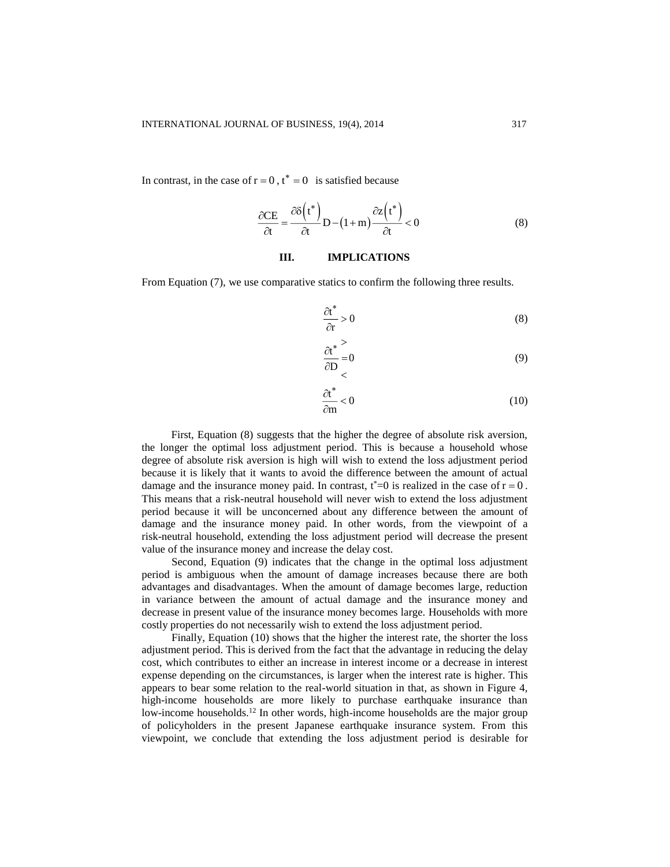In contrast, in the case of  $r = 0$ ,  $t^* = 0$  is satisfied because

$$
\frac{\partial CE}{\partial t} = \frac{\partial \delta(t^*)}{\partial t} D - (1+m) \frac{\partial z(t^*)}{\partial t} < 0
$$
 (8)

#### **III. IMPLICATIONS**

 $\mathbf{I}$ 

From Equation (7), we use comparative statics to confirm the following three results.

$$
\frac{\partial t^*}{\partial r} > 0\tag{8}
$$

$$
\frac{\partial t^*}{\partial D} = 0 \tag{9}
$$

$$
\frac{\partial t^*}{\partial m} < 0 \tag{10}
$$

First, Equation (8) suggests that the higher the degree of absolute risk aversion, the longer the optimal loss adjustment period. This is because a household whose degree of absolute risk aversion is high will wish to extend the loss adjustment period because it is likely that it wants to avoid the difference between the amount of actual damage and the insurance money paid. In contrast,  $t^*=0$  is realized in the case of  $r = 0$ . This means that a risk-neutral household will never wish to extend the loss adjustment period because it will be unconcerned about any difference between the amount of damage and the insurance money paid. In other words, from the viewpoint of a risk-neutral household, extending the loss adjustment period will decrease the present value of the insurance money and increase the delay cost.

Second, Equation (9) indicates that the change in the optimal loss adjustment period is ambiguous when the amount of damage increases because there are both advantages and disadvantages. When the amount of damage becomes large, reduction in variance between the amount of actual damage and the insurance money and decrease in present value of the insurance money becomes large. Households with more costly properties do not necessarily wish to extend the loss adjustment period.

Finally, Equation (10) shows that the higher the interest rate, the shorter the loss adjustment period. This is derived from the fact that the advantage in reducing the delay cost, which contributes to either an increase in interest income or a decrease in interest expense depending on the circumstances, is larger when the interest rate is higher. This appears to bear some relation to the real-world situation in that, as shown in Figure 4, high-income households are more likely to purchase earthquake insurance than low-income households.<sup>12</sup> In other words, high-income households are the major group of policyholders in the present Japanese earthquake insurance system. From this viewpoint, we conclude that extending the loss adjustment period is desirable for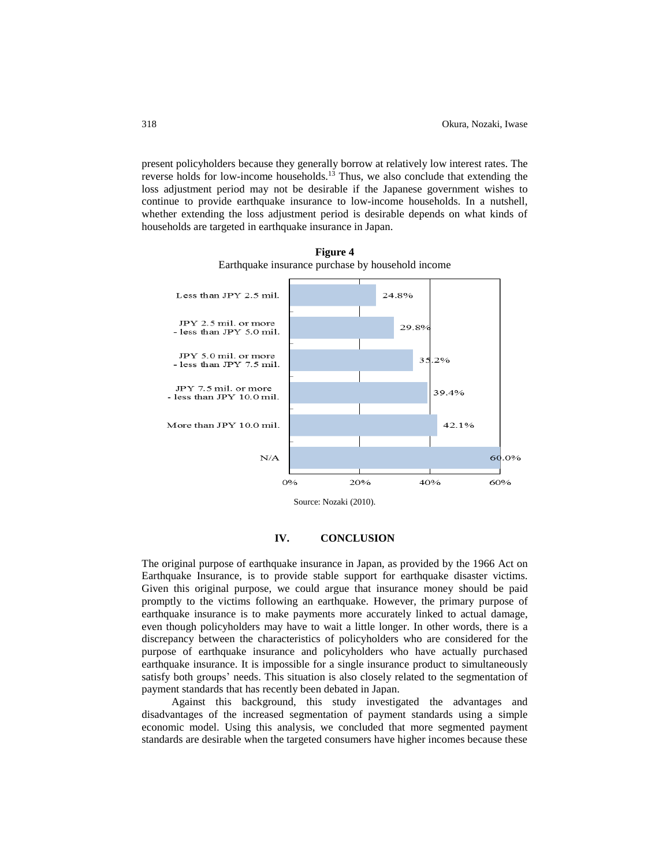present policyholders because they generally borrow at relatively low interest rates. The reverse holds for low-income households.<sup>13</sup> Thus, we also conclude that extending the loss adjustment period may not be desirable if the Japanese government wishes to continue to provide earthquake insurance to low-income households. In a nutshell, whether extending the loss adjustment period is desirable depends on what kinds of households are targeted in earthquake insurance in Japan.



**Figure 4** Earthquake insurance purchase by household income

Source: Nozaki (2010).

# **IV. CONCLUSION**

The original purpose of earthquake insurance in Japan, as provided by the 1966 Act on Earthquake Insurance, is to provide stable support for earthquake disaster victims. Given this original purpose, we could argue that insurance money should be paid promptly to the victims following an earthquake. However, the primary purpose of earthquake insurance is to make payments more accurately linked to actual damage, even though policyholders may have to wait a little longer. In other words, there is a discrepancy between the characteristics of policyholders who are considered for the purpose of earthquake insurance and policyholders who have actually purchased earthquake insurance. It is impossible for a single insurance product to simultaneously satisfy both groups' needs. This situation is also closely related to the segmentation of payment standards that has recently been debated in Japan.

Against this background, this study investigated the advantages and disadvantages of the increased segmentation of payment standards using a simple economic model. Using this analysis, we concluded that more segmented payment standards are desirable when the targeted consumers have higher incomes because these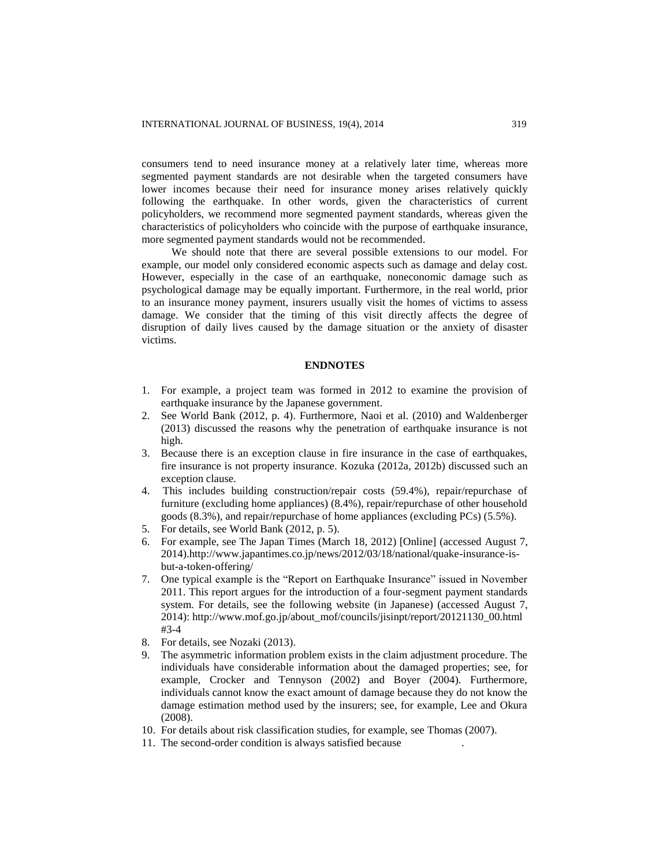consumers tend to need insurance money at a relatively later time, whereas more segmented payment standards are not desirable when the targeted consumers have lower incomes because their need for insurance money arises relatively quickly following the earthquake. In other words, given the characteristics of current policyholders, we recommend more segmented payment standards, whereas given the characteristics of policyholders who coincide with the purpose of earthquake insurance, more segmented payment standards would not be recommended.

We should note that there are several possible extensions to our model. For example, our model only considered economic aspects such as damage and delay cost. However, especially in the case of an earthquake, noneconomic damage such as psychological damage may be equally important. Furthermore, in the real world, prior to an insurance money payment, insurers usually visit the homes of victims to assess damage. We consider that the timing of this visit directly affects the degree of disruption of daily lives caused by the damage situation or the anxiety of disaster victims.

# **ENDNOTES**

- 1. For example, a project team was formed in 2012 to examine the provision of earthquake insurance by the Japanese government.
- 2. See World Bank (2012, p. 4). Furthermore, Naoi et al. (2010) and Waldenberger (2013) discussed the reasons why the penetration of earthquake insurance is not high.
- 3. Because there is an exception clause in fire insurance in the case of earthquakes, fire insurance is not property insurance. Kozuka (2012a, 2012b) discussed such an exception clause.
- 4. This includes building construction/repair costs (59.4%), repair/repurchase of furniture (excluding home appliances) (8.4%), repair/repurchase of other household goods (8.3%), and repair/repurchase of home appliances (excluding PCs) (5.5%).
- 5. For details, see World Bank (2012, p. 5).
- 6. For example, see The Japan Times (March 18, 2012) [Online] (accessed August 7, 2014).http://www.japantimes.co.jp/news/2012/03/18/national/quake-insurance-isbut-a-token-offering/
- 7. One typical example is the "Report on Earthquake Insurance" issued in November 2011. This report argues for the introduction of a four-segment payment standards system. For details, see the following website (in Japanese) (accessed August 7, 2014): http://www.mof.go.jp/about\_mof/councils/jisinpt/report/20121130\_00.html #3-4
- 8. For details, see Nozaki (2013).
- 9. The asymmetric information problem exists in the claim adjustment procedure. The individuals have considerable information about the damaged properties; see, for example, Crocker and Tennyson (2002) and Boyer (2004). Furthermore, individuals cannot know the exact amount of damage because they do not know the damage estimation method used by the insurers; see, for example, Lee and Okura (2008).
- 10. For details about risk classification studies, for example, see Thomas (2007).
- 11. The second-order condition is always satisfied because .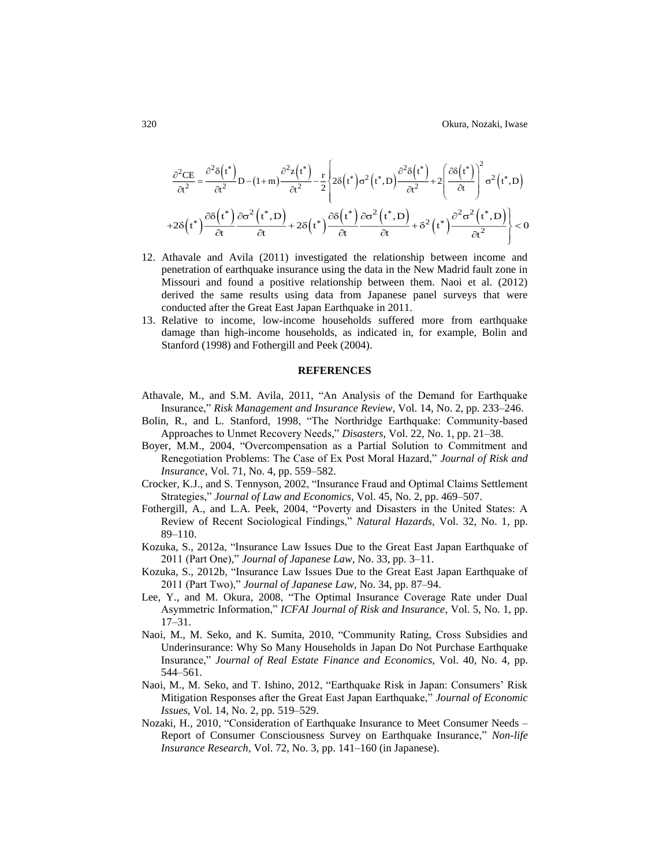$$
\frac{\partial^2 CE}{\partial t^2} = \frac{\partial^2 \delta(t^*)}{\partial t^2} D - (1+m) \frac{\partial^2 z(t^*)}{\partial t^2} - \frac{r}{2} \left\{ 2\delta(t^*) \sigma^2(t^*, D) \frac{\partial^2 \delta(t^*)}{\partial t^2} + 2 \left( \frac{\partial \delta(t^*)}{\partial t} \right)^2 \sigma^2(t^*, D) \right\}
$$

$$
+ 2\delta(t^*) \frac{\partial \delta(t^*)}{\partial t} \frac{\partial \sigma^2(t^*, D)}{\partial t} + 2\delta(t^*) \frac{\partial \delta(t^*)}{\partial t} \frac{\partial \sigma^2(t^*, D)}{\partial t} + \delta^2(t^*) \frac{\partial^2 \sigma^2(t^*, D)}{\partial t^2} \right\} < 0
$$

- 12. Athavale and Avila (2011) investigated the relationship between income and penetration of earthquake insurance using the data in the New Madrid fault zone in Missouri and found a positive relationship between them. Naoi et al. (2012) derived the same results using data from Japanese panel surveys that were conducted after the Great East Japan Earthquake in 2011.
- 13. Relative to income, low-income households suffered more from earthquake damage than high-income households, as indicated in, for example, Bolin and Stanford (1998) and Fothergill and Peek (2004).

#### **REFERENCES**

- Athavale, M., and S.M. Avila, 2011, "An Analysis of the Demand for Earthquake Insurance," *Risk Management and Insurance Review*, Vol. 14, No. 2, pp. 233–246.
- Bolin, R., and L. Stanford, 1998, "The Northridge Earthquake: Community-based Approaches to Unmet Recovery Needs," *Disasters*, Vol. 22, No. 1, pp. 21–38.
- Boyer, M.M., 2004, "Overcompensation as a Partial Solution to Commitment and Renegotiation Problems: The Case of Ex Post Moral Hazard," *Journal of Risk and Insurance*, Vol. 71, No. 4, pp. 559–582.
- Crocker, K.J., and S. Tennyson, 2002, "Insurance Fraud and Optimal Claims Settlement Strategies," *Journal of Law and Economics*, Vol. 45, No. 2, pp. 469–507.
- Fothergill, A., and L.A. Peek, 2004, "Poverty and Disasters in the United States: A Review of Recent Sociological Findings," *Natural Hazards*, Vol. 32, No. 1, pp. 89–110.
- Kozuka, S., 2012a, "Insurance Law Issues Due to the Great East Japan Earthquake of 2011 (Part One)," *Journal of Japanese Law*, No. 33, pp. 3–11.
- Kozuka, S., 2012b, "Insurance Law Issues Due to the Great East Japan Earthquake of 2011 (Part Two)," *Journal of Japanese Law*, No. 34, pp. 87–94.
- Lee, Y., and M. Okura, 2008, "The Optimal Insurance Coverage Rate under Dual Asymmetric Information," *ICFAI Journal of Risk and Insurance*, Vol. 5, No. 1, pp. 17–31.
- Naoi, M., M. Seko, and K. Sumita, 2010, "Community Rating, Cross Subsidies and Underinsurance: Why So Many Households in Japan Do Not Purchase Earthquake Insurance," *Journal of Real Estate Finance and Economics*, Vol. 40, No. 4, pp. 544–561.
- Naoi, M., M. Seko, and T. Ishino, 2012, "Earthquake Risk in Japan: Consumers' Risk Mitigation Responses after the Great East Japan Earthquake," *Journal of Economic Issues*, Vol. 14, No. 2, pp. 519–529.
- Nozaki, H., 2010, "Consideration of Earthquake Insurance to Meet Consumer Needs Report of Consumer Consciousness Survey on Earthquake Insurance," *Non-life Insurance Research*, Vol. 72, No. 3, pp. 141–160 (in Japanese).